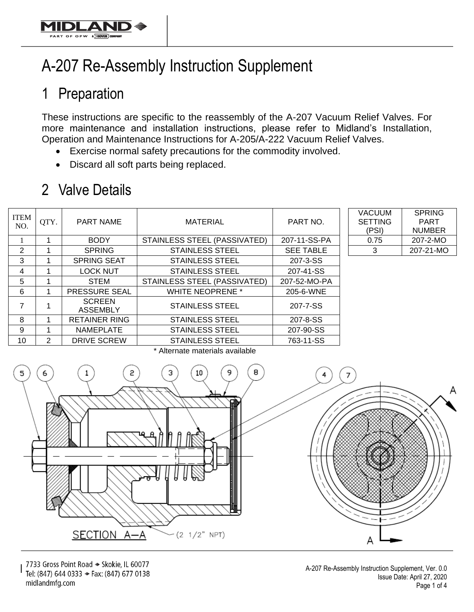

## 1 Preparation

OF OPW AJDOW

These instructions are specific to the reassembly of the A-207 Vacuum Relief Valves. For more maintenance and installation instructions, please refer to Midland's Installation, Operation and Maintenance Instructions for A-205/A-222 Vacuum Relief Valves.

- Exercise normal safety precautions for the commodity involved.
- Discard all soft parts being replaced.

## 2 Valve Details

| <b>ITEM</b><br>NO. | QTY. | PART NAME                        | <b>MATERIAL</b>              | PART NO.         | <b>VACUUM</b><br><b>SETTING</b><br>(PSI) | <b>SPRING</b><br><b>PART</b><br><b>NUMBER</b> |
|--------------------|------|----------------------------------|------------------------------|------------------|------------------------------------------|-----------------------------------------------|
|                    |      | <b>BODY</b>                      | STAINLESS STEEL (PASSIVATED) | 207-11-SS-PA     | 0.75                                     | 207-2-MO                                      |
| 2                  |      | <b>SPRING</b>                    | <b>STAINLESS STEEL</b>       | <b>SEE TABLE</b> | 3                                        | 207-21-MO                                     |
| 3                  |      | <b>SPRING SEAT</b>               | <b>STAINLESS STEEL</b>       | 207-3-SS         |                                          |                                               |
| 4                  |      | <b>LOCK NUT</b>                  | <b>STAINLESS STEEL</b>       | 207-41-SS        |                                          |                                               |
| 5                  |      | <b>STEM</b>                      | STAINLESS STEEL (PASSIVATED) | 207-52-MO-PA     |                                          |                                               |
| 6                  |      | <b>PRESSURE SEAL</b>             | <b>WHITE NEOPRENE *</b>      | 205-6-WNE        |                                          |                                               |
| 7                  |      | <b>SCREEN</b><br><b>ASSEMBLY</b> | <b>STAINLESS STEEL</b>       | 207-7-SS         |                                          |                                               |
| 8                  |      | <b>RETAINER RING</b>             | <b>STAINLESS STEEL</b>       | 207-8-SS         |                                          |                                               |
| 9                  |      | <b>NAMEPLATE</b>                 | <b>STAINLESS STEEL</b>       | 207-90-SS        |                                          |                                               |
| 10                 | 2    | DRIVE SCREW                      | <b>STAINLESS STEEL</b>       | 763-11-SS        |                                          |                                               |

| VACUUM         | <b>SPRING</b> |
|----------------|---------------|
| <b>SETTING</b> | <b>PART</b>   |
| (PSI)          | <b>NUMBER</b> |
| 0.75           | 207-2-MO      |
| З              | 207-21-MO     |



7733 Gross Point Road → Skokie, IL 60077 Tel: (847) 644 0333 → Fax: (847) 677 0138 midlandmfg.com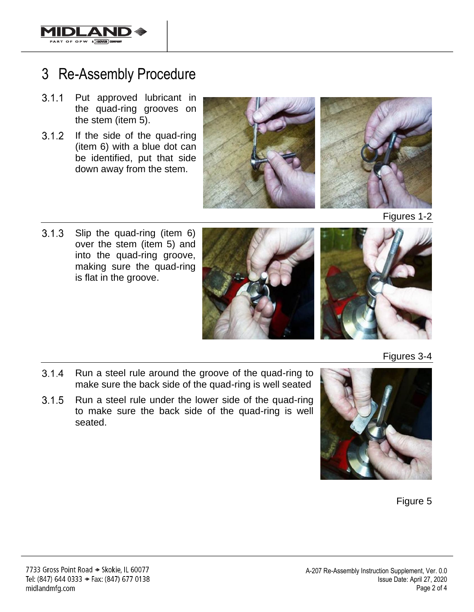

## 3 Re-Assembly Procedure

- Put approved lubricant in  $3.1.1$ the quad-ring grooves on the stem (item 5).
- $3.1.2$ If the side of the quad-ring (item 6) with a blue dot can be identified, put that side down away from the stem.





Figures 1-2

 $3.1.3$ Slip the quad-ring (item 6) over the stem (item 5) and into the quad-ring groove, making sure the quad-ring is flat in the groove.





Figures 3-4

- $3.1.4$ Run a steel rule around the groove of the quad-ring to make sure the back side of the quad-ring is well seated
- $3.1.5$ Run a steel rule under the lower side of the quad-ring to make sure the back side of the quad-ring is well seated.



Figure 5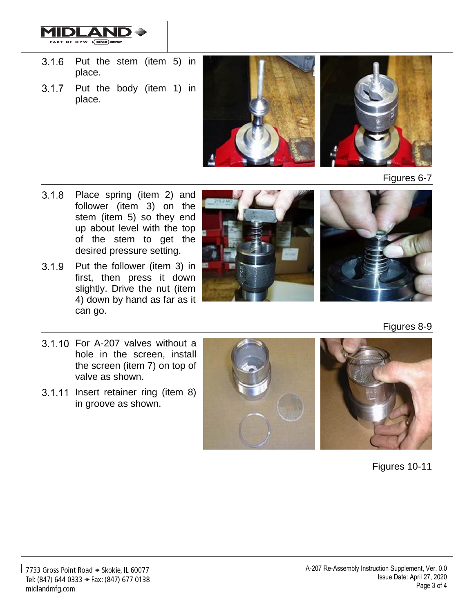

- Put the stem (item 5) in  $3.1.6$ place.
- Put the body (item 1) in  $3.1.7$ place.



Figures 6-7

- Place spring (item 2) and  $3.1.8$ follower (item 3) on the stem (item 5) so they end up about level with the top of the stem to get the desired pressure setting.
- $3.1.9$ Put the follower (item 3) in first, then press it down slightly. Drive the nut (item 4) down by hand as far as it can go.





Figures 8-9

- 3.1.10 For A-207 valves without a hole in the screen, install the screen (item 7) on top of valve as shown.
- 3.1.11 Insert retainer ring (item 8) in groove as shown.



Figures 10-11